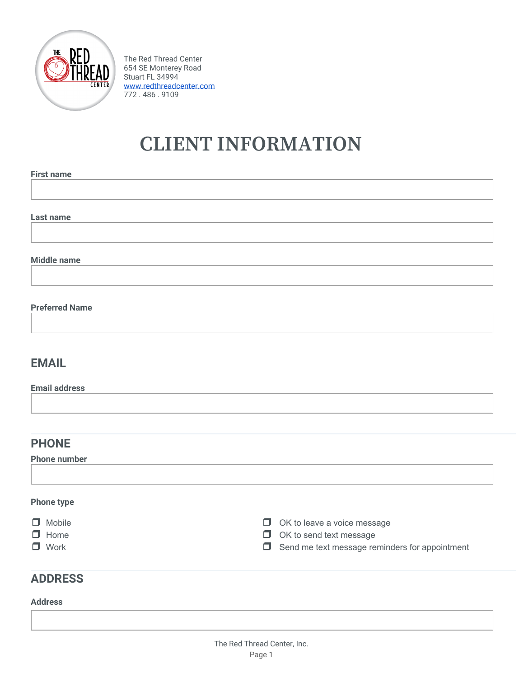

The Red Thread Center 654 SE Monterey Road Stuart FL 34994 [www.redthreadcenter.com](http://www.redthreadcenter.com/) 772 . 486 . 9109

# **CLIENT INFORMATION**

**First name**

**Last name**

**Middle name**

#### **Preferred Name**

### **EMAIL**

**Email address**

### **PHONE**

**Phone number**

#### **Phone type**

| $\Box$ Mobile | $\Box$ OK to leave a voice message                    |
|---------------|-------------------------------------------------------|
| $\Box$ Home   | $\Box$ OK to send text message                        |
| $\Box$ Work   | $\Box$ Send me text message reminders for appointment |

### **ADDRESS**

#### **Address**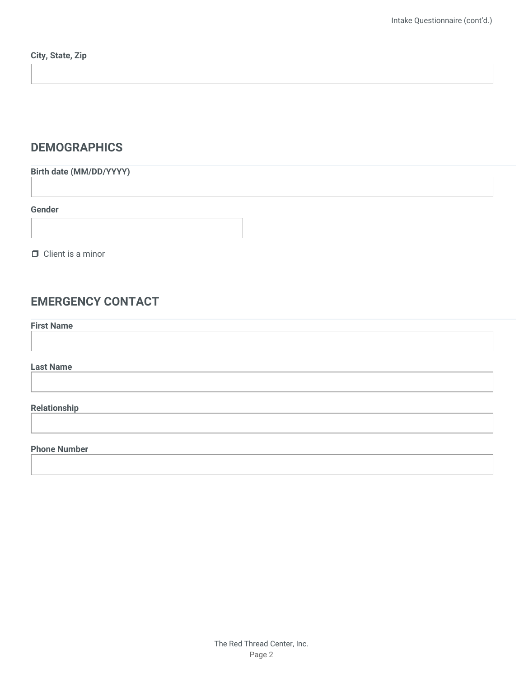## **DEMOGRAPHICS**

**Birth date (MM/DD/YYYY)**

**Gender**

❒ Client is a minor

## **EMERGENCY CONTACT**

**First Name**

**Last Name**

#### **Relationship**

#### **Phone Number**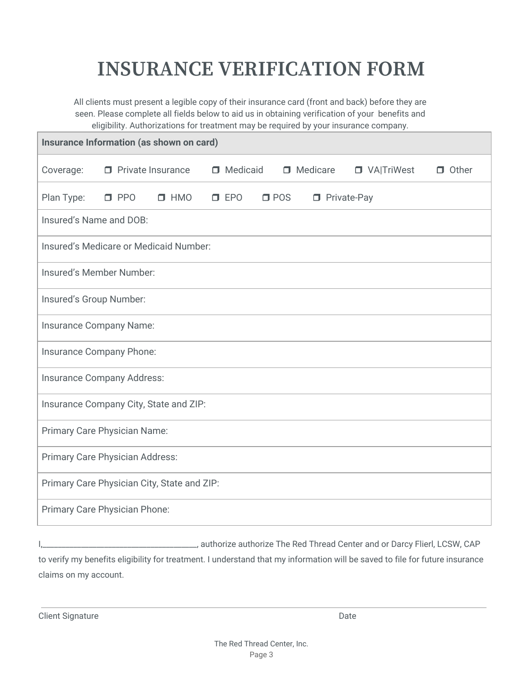# **INSURANCE VERIFICATION FORM**

All clients must present a legible copy of their insurance card (front and back) before they are seen. Please complete all fields below to aid us in obtaining verification of your benefits and eligibility. Authorizations for treatment may be required by your insurance company.

| Insurance Information (as shown on card)    |                          |            |               |               |                      |                     |              |
|---------------------------------------------|--------------------------|------------|---------------|---------------|----------------------|---------------------|--------------|
| Coverage:                                   | $\Box$ Private Insurance |            | □ Medicaid    |               | $\Box$ Medicare      | <b>D</b> VAITriWest | $\Box$ Other |
| Plan Type:                                  | $\square$ PPO            | $\Box$ HMO | $\square$ EPO | $\square$ POS | <b>D</b> Private-Pay |                     |              |
| Insured's Name and DOB:                     |                          |            |               |               |                      |                     |              |
| Insured's Medicare or Medicaid Number:      |                          |            |               |               |                      |                     |              |
| Insured's Member Number:                    |                          |            |               |               |                      |                     |              |
| Insured's Group Number:                     |                          |            |               |               |                      |                     |              |
| Insurance Company Name:                     |                          |            |               |               |                      |                     |              |
| Insurance Company Phone:                    |                          |            |               |               |                      |                     |              |
| Insurance Company Address:                  |                          |            |               |               |                      |                     |              |
| Insurance Company City, State and ZIP:      |                          |            |               |               |                      |                     |              |
| Primary Care Physician Name:                |                          |            |               |               |                      |                     |              |
| Primary Care Physician Address:             |                          |            |               |               |                      |                     |              |
| Primary Care Physician City, State and ZIP: |                          |            |               |               |                      |                     |              |
| Primary Care Physician Phone:               |                          |            |               |               |                      |                     |              |

I,\_\_\_\_\_\_\_\_\_\_\_\_\_\_\_\_\_\_\_\_\_\_\_\_\_\_\_\_\_\_\_\_\_\_\_\_\_\_\_\_, authorize authorize The Red Thread Center and or Darcy Flierl, LCSW, CAP to verify my benefits eligibility for treatment. I understand that my information will be saved to file for future insurance claims on my account.

Client Signature Date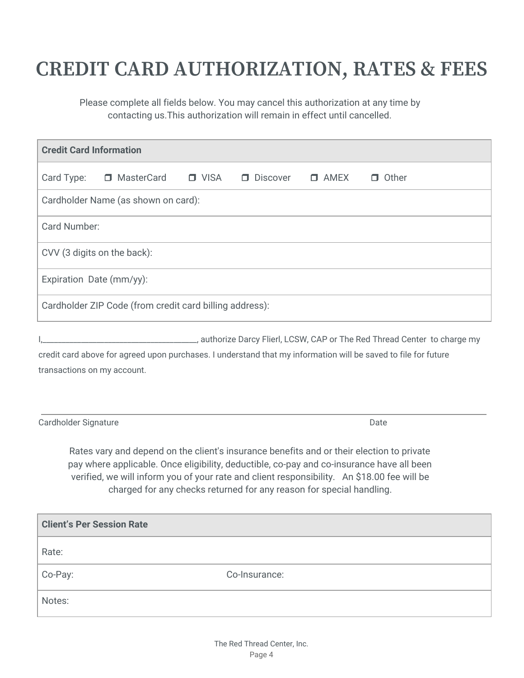# **CREDIT CARD AUTHORIZATION, RATES & FEES**

Please complete all fields below. You may cancel this authorization at any time by contacting us.This authorization will remain in effect until cancelled.

| <b>Credit Card Information</b> |                                                                                                                                                                                                                                                                                                                                                               |             |               |             |                                                                                                                |  |
|--------------------------------|---------------------------------------------------------------------------------------------------------------------------------------------------------------------------------------------------------------------------------------------------------------------------------------------------------------------------------------------------------------|-------------|---------------|-------------|----------------------------------------------------------------------------------------------------------------|--|
| Card Type:                     | □ MasterCard                                                                                                                                                                                                                                                                                                                                                  | $\Box$ VISA | D Discover    | $\Box$ AMEX | $\Box$ Other                                                                                                   |  |
|                                | Cardholder Name (as shown on card):                                                                                                                                                                                                                                                                                                                           |             |               |             |                                                                                                                |  |
| Card Number:                   |                                                                                                                                                                                                                                                                                                                                                               |             |               |             |                                                                                                                |  |
|                                | CVV (3 digits on the back):                                                                                                                                                                                                                                                                                                                                   |             |               |             |                                                                                                                |  |
|                                | Expiration Date (mm/yy):                                                                                                                                                                                                                                                                                                                                      |             |               |             |                                                                                                                |  |
|                                | Cardholder ZIP Code (from credit card billing address):                                                                                                                                                                                                                                                                                                       |             |               |             |                                                                                                                |  |
|                                | transactions on my account.                                                                                                                                                                                                                                                                                                                                   |             |               |             | credit card above for agreed upon purchases. I understand that my information will be saved to file for future |  |
| Cardholder Signature           |                                                                                                                                                                                                                                                                                                                                                               |             |               |             | Date                                                                                                           |  |
|                                | Rates vary and depend on the client's insurance benefits and or their election to private<br>pay where applicable. Once eligibility, deductible, co-pay and co-insurance have all been<br>verified, we will inform you of your rate and client responsibility. An \$18.00 fee will be<br>charged for any checks returned for any reason for special handling. |             |               |             |                                                                                                                |  |
|                                | <b>Client's Per Session Rate</b>                                                                                                                                                                                                                                                                                                                              |             |               |             |                                                                                                                |  |
| Rate:                          |                                                                                                                                                                                                                                                                                                                                                               |             |               |             |                                                                                                                |  |
| Co-Pay:                        |                                                                                                                                                                                                                                                                                                                                                               |             | Co-Insurance: |             |                                                                                                                |  |

Notes: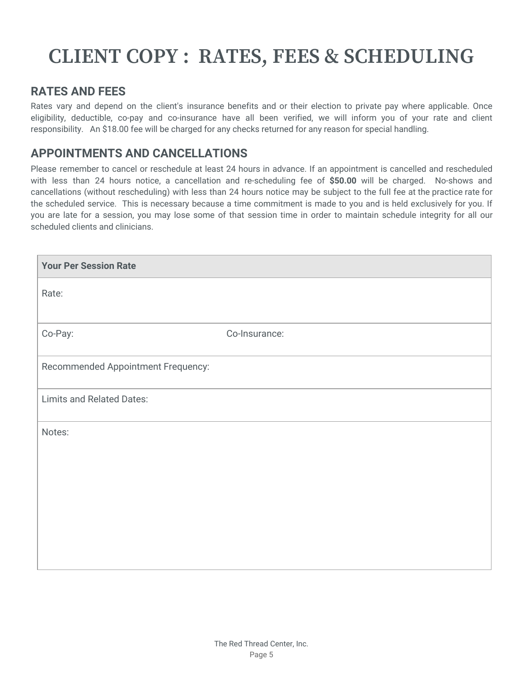# **CLIENT COPY : RATES, FEES & SCHEDULING**

### **RATES AND FEES**

Rates vary and depend on the client's insurance benefits and or their election to private pay where applicable. Once eligibility, deductible, co-pay and co-insurance have all been verified, we will inform you of your rate and client responsibility. An \$18.00 fee will be charged for any checks returned for any reason for special handling.

### **APPOINTMENTS AND CANCELLATIONS**

Please remember to cancel or reschedule at least 24 hours in advance. If an appointment is cancelled and rescheduled with less than 24 hours notice, a cancellation and re-scheduling fee of **\$50.00** will be charged. No-shows and cancellations (without rescheduling) with less than 24 hours notice may be subject to the full fee at the practice rate for the scheduled service. This is necessary because a time commitment is made to you and is held exclusively for you. If you are late for a session, you may lose some of that session time in order to maintain schedule integrity for all our scheduled clients and clinicians.

| <b>Your Per Session Rate</b>       |               |  |
|------------------------------------|---------------|--|
| Rate:                              |               |  |
|                                    |               |  |
| Co-Pay:                            | Co-Insurance: |  |
| Recommended Appointment Frequency: |               |  |
| <b>Limits and Related Dates:</b>   |               |  |
| Notes:                             |               |  |
|                                    |               |  |
|                                    |               |  |
|                                    |               |  |
|                                    |               |  |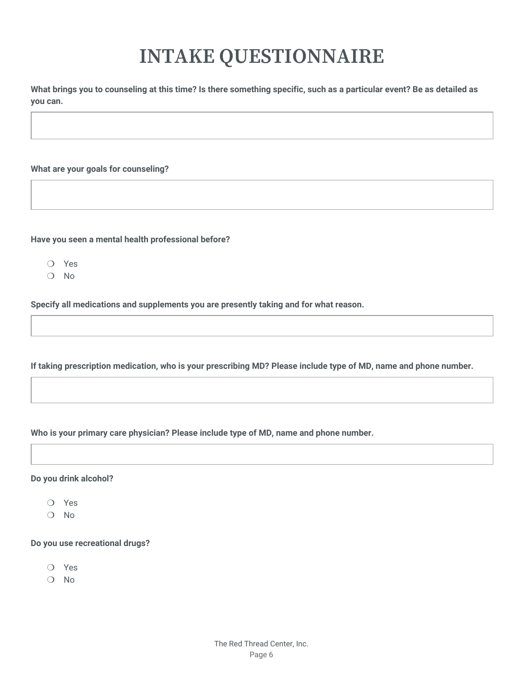# **INTAKE QUESTIONNAIRE**

What brings you to counseling at this time? Is there something specific, such as a particular event? Be as detailed as **you can.**

**What are your goals for counseling?**

**Have you seen a mental health professional before?**

- ❍ Yes
- ❍ No

**Specify all medications and supplements you are presently taking and for what reason.**

If taking prescription medication, who is your prescribing MD? Please include type of MD, name and phone number.

**Who is your primary care physician? Please include type of MD, name and phone number.**

#### **Do you drink alcohol?**

- ❍ Yes
- ❍ No

#### **Do you use recreational drugs?**

- ❍ Yes
- ❍ No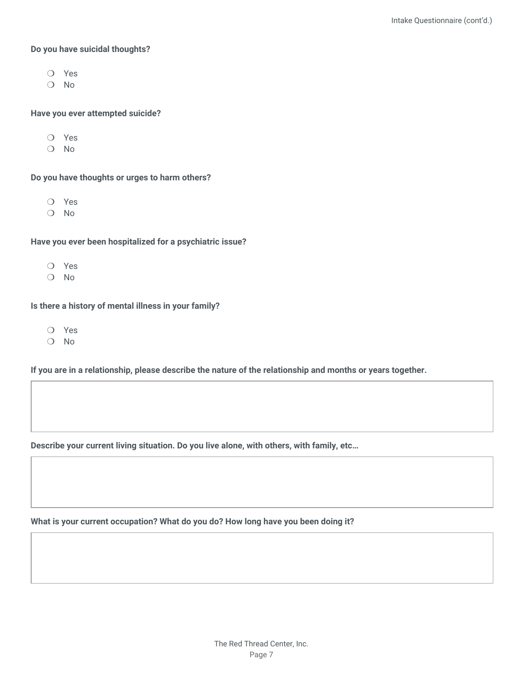#### **Do you have suicidal thoughts?**

- ❍ Yes
- ❍ No

#### **Have you ever attempted suicide?**

- ❍ Yes
- ❍ No

#### **Do you have thoughts or urges to harm others?**

- ❍ Yes
- ❍ No

#### **Have you ever been hospitalized for a psychiatric issue?**

- ❍ Yes
- ❍ No

#### **Is there a history of mental illness in your family?**

- ❍ Yes
- ❍ No

If you are in a relationship, please describe the nature of the relationship and months or years together.

**Describe your current living situation. Do you live alone, with others, with family, etc…**

**What is your current occupation? What do you do? How long have you been doing it?**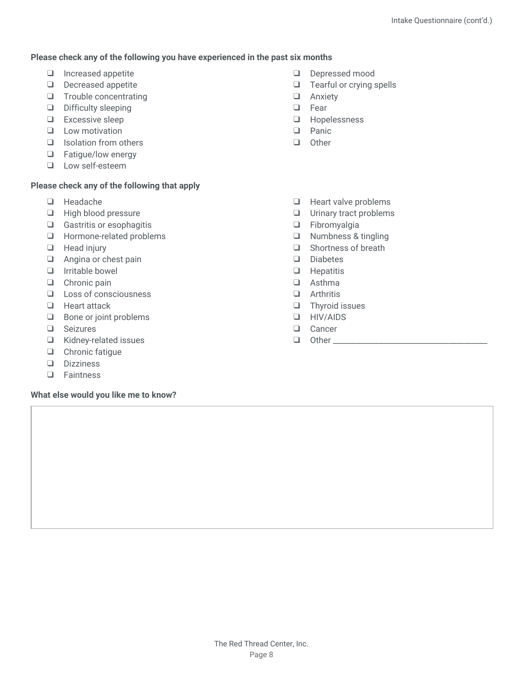#### **Please check any of the following you have experienced in the past six months**

- ❑ Increased appetite
- ❑ Decreased appetite
- ❑ Trouble concentrating
- ❑ Difficulty sleeping
- ❑ Excessive sleep
- ❑ Low motivation
- ❑ Isolation from others
- ❑ Fatigue/low energy
- ❑ Low self-esteem

#### **Please check any of the following that apply**

- ❑ Headache
- ❑ High blood pressure
- ❑ Gastritis or esophagitis
- ❑ Hormone-related problems
- ❑ Head injury
- ❑ Angina or chest pain
- ❑ Irritable bowel
- ❑ Chronic pain
- ❑ Loss of consciousness
- ❑ Heart attack
- ❑ Bone or joint problems
- ❑ Seizures
- ❑ Kidney-related issues
- ❑ Chronic fatigue
- ❑ Dizziness
- ❑ Faintness

#### **What else would you like me to know?**

- ❑ Depressed mood
- ❑ Tearful or crying spells
- ❑ Anxiety
- ❑ Fear
- ❑ Hopelessness
- ❑ Panic
- ❑ Other
- ❑ Heart valve problems
- ❑ Urinary tract problems
- ❑ Fibromyalgia
- ❑ Numbness & tingling
- ❑ Shortness of breath
- ❑ Diabetes
- ❑ Hepatitis
- ❑ Asthma
- ❑ Arthritis
- ❑ Thyroid issues
- ❑ HIV/AIDS
- ❑ Cancer
- $\Box$  Other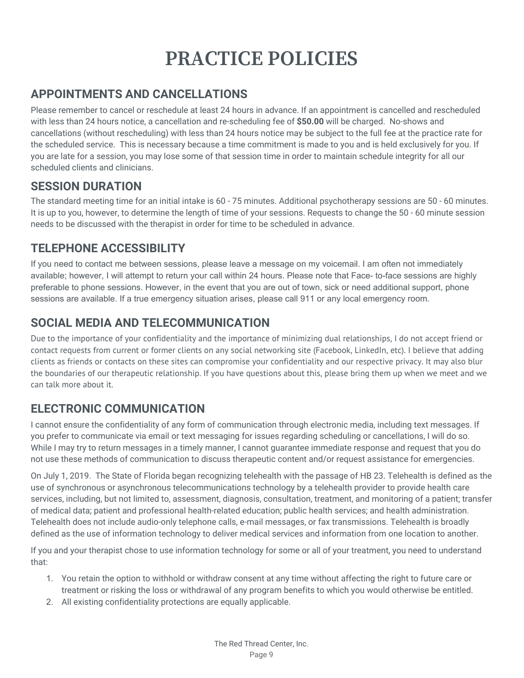# **PRACTICE POLICIES**

## **APPOINTMENTS AND CANCELLATIONS**

Please remember to cancel or reschedule at least 24 hours in advance. If an appointment is cancelled and rescheduled with less than 24 hours notice, a cancellation and re-scheduling fee of **\$50.00** will be charged. No-shows and cancellations (without rescheduling) with less than 24 hours notice may be subject to the full fee at the practice rate for the scheduled service. This is necessary because a time commitment is made to you and is held exclusively for you. If you are late for a session, you may lose some of that session time in order to maintain schedule integrity for all our scheduled clients and clinicians.

## **SESSION DURATION**

The standard meeting time for an initial intake is 60 - 75 minutes. Additional psychotherapy sessions are 50 - 60 minutes. It is up to you, however, to determine the length of time of your sessions. Requests to change the 50 - 60 minute session needs to be discussed with the therapist in order for time to be scheduled in advance.

## **TELEPHONE ACCESSIBILITY**

If you need to contact me between sessions, please leave a message on my voicemail. I am often not immediately available; however, I will attempt to return your call within 24 hours. Please note that Face- to-face sessions are highly preferable to phone sessions. However, in the event that you are out of town, sick or need additional support, phone sessions are available. If a true emergency situation arises, please call 911 or any local emergency room.

## **SOCIAL MEDIA AND TELECOMMUNICATION**

Due to the importance of your confidentiality and the importance of minimizing dual relationships, I do not accept friend or contact requests from current or former clients on any social networking site (Facebook, LinkedIn, etc). I believe that adding clients as friends or contacts on these sites can compromise your confidentiality and our respective privacy. It may also blur the boundaries of our therapeutic relationship. If you have questions about this, please bring them up when we meet and we can talk more about it.

## **ELECTRONIC COMMUNICATION**

I cannot ensure the confidentiality of any form of communication through electronic media, including text messages. If you prefer to communicate via email or text messaging for issues regarding scheduling or cancellations, I will do so. While I may try to return messages in a timely manner, I cannot guarantee immediate response and request that you do not use these methods of communication to discuss therapeutic content and/or request assistance for emergencies.

On July 1, 2019. The State of Florida began recognizing telehealth with the passage of HB 23. Telehealth is defined as the use of synchronous or asynchronous telecommunications technology by a telehealth provider to provide health care services, including, but not limited to, assessment, diagnosis, consultation, treatment, and monitoring of a patient; transfer of medical data; patient and professional health-related education; public health services; and health administration. Telehealth does not include audio-only telephone calls, e-mail messages, or fax transmissions. Telehealth is broadly defined as the use of information technology to deliver medical services and information from one location to another.

If you and your therapist chose to use information technology for some or all of your treatment, you need to understand that:

- 1. You retain the option to withhold or withdraw consent at any time without affecting the right to future care or treatment or risking the loss or withdrawal of any program benefits to which you would otherwise be entitled.
- 2. All existing confidentiality protections are equally applicable.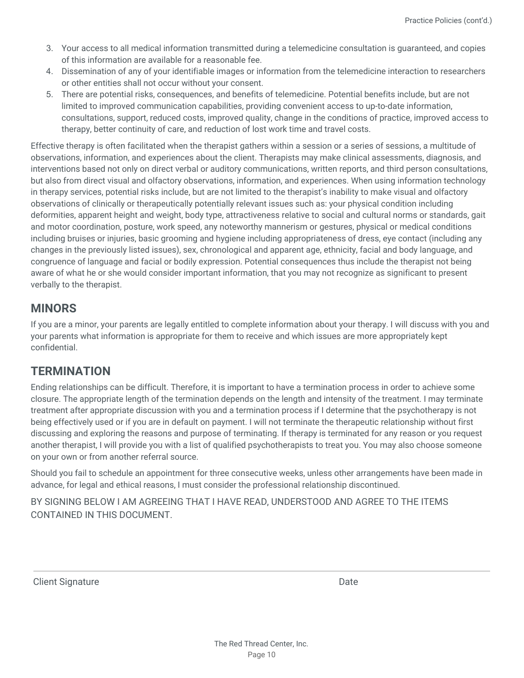- 3. Your access to all medical information transmitted during a telemedicine consultation is guaranteed, and copies of this information are available for a reasonable fee.
- 4. Dissemination of any of your identifiable images or information from the telemedicine interaction to researchers or other entities shall not occur without your consent.
- 5. There are potential risks, consequences, and benefits of telemedicine. Potential benefits include, but are not limited to improved communication capabilities, providing convenient access to up-to-date information, consultations, support, reduced costs, improved quality, change in the conditions of practice, improved access to therapy, better continuity of care, and reduction of lost work time and travel costs.

Effective therapy is often facilitated when the therapist gathers within a session or a series of sessions, a multitude of observations, information, and experiences about the client. Therapists may make clinical assessments, diagnosis, and interventions based not only on direct verbal or auditory communications, written reports, and third person consultations, but also from direct visual and olfactory observations, information, and experiences. When using information technology in therapy services, potential risks include, but are not limited to the therapist's inability to make visual and olfactory observations of clinically or therapeutically potentially relevant issues such as: your physical condition including deformities, apparent height and weight, body type, attractiveness relative to social and cultural norms or standards, gait and motor coordination, posture, work speed, any noteworthy mannerism or gestures, physical or medical conditions including bruises or injuries, basic grooming and hygiene including appropriateness of dress, eye contact (including any changes in the previously listed issues), sex, chronological and apparent age, ethnicity, facial and body language, and congruence of language and facial or bodily expression. Potential consequences thus include the therapist not being aware of what he or she would consider important information, that you may not recognize as significant to present verbally to the therapist.

### **MINORS**

If you are a minor, your parents are legally entitled to complete information about your therapy. I will discuss with you and your parents what information is appropriate for them to receive and which issues are more appropriately kept confidential.

### **TERMINATION**

Ending relationships can be difficult. Therefore, it is important to have a termination process in order to achieve some closure. The appropriate length of the termination depends on the length and intensity of the treatment. I may terminate treatment after appropriate discussion with you and a termination process if I determine that the psychotherapy is not being effectively used or if you are in default on payment. I will not terminate the therapeutic relationship without first discussing and exploring the reasons and purpose of terminating. If therapy is terminated for any reason or you request another therapist, I will provide you with a list of qualified psychotherapists to treat you. You may also choose someone on your own or from another referral source.

Should you fail to schedule an appointment for three consecutive weeks, unless other arrangements have been made in advance, for legal and ethical reasons, I must consider the professional relationship discontinued.

BY SIGNING BELOW I AM AGREEING THAT I HAVE READ, UNDERSTOOD AND AGREE TO THE ITEMS CONTAINED IN THIS DOCUMENT.

Client Signature Date Date of the United States of the Date Date Date Date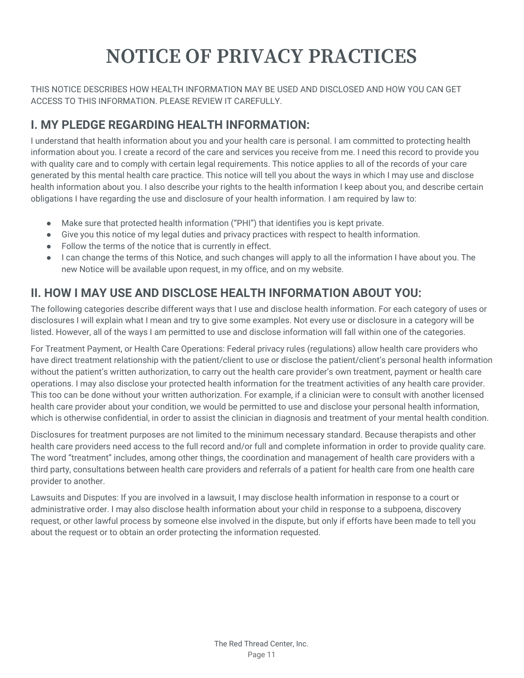# **NOTICE OF PRIVACY PRACTICES**

THIS NOTICE DESCRIBES HOW HEALTH INFORMATION MAY BE USED AND DISCLOSED AND HOW YOU CAN GET ACCESS TO THIS INFORMATION. PLEASE REVIEW IT CAREFULLY.

## **I. MY PLEDGE REGARDING HEALTH INFORMATION:**

I understand that health information about you and your health care is personal. I am committed to protecting health information about you. I create a record of the care and services you receive from me. I need this record to provide you with quality care and to comply with certain legal requirements. This notice applies to all of the records of your care generated by this mental health care practice. This notice will tell you about the ways in which I may use and disclose health information about you. I also describe your rights to the health information I keep about you, and describe certain obligations I have regarding the use and disclosure of your health information. I am required by law to:

- Make sure that protected health information ("PHI") that identifies you is kept private.
- Give you this notice of my legal duties and privacy practices with respect to health information.
- Follow the terms of the notice that is currently in effect.
- I can change the terms of this Notice, and such changes will apply to all the information I have about you. The new Notice will be available upon request, in my office, and on my website.

# **II. HOW I MAY USE AND DISCLOSE HEALTH INFORMATION ABOUT YOU:**

The following categories describe different ways that I use and disclose health information. For each category of uses or disclosures I will explain what I mean and try to give some examples. Not every use or disclosure in a category will be listed. However, all of the ways I am permitted to use and disclose information will fall within one of the categories.

For Treatment Payment, or Health Care Operations: Federal privacy rules (regulations) allow health care providers who have direct treatment relationship with the patient/client to use or disclose the patient/client's personal health information without the patient's written authorization, to carry out the health care provider's own treatment, payment or health care operations. I may also disclose your protected health information for the treatment activities of any health care provider. This too can be done without your written authorization. For example, if a clinician were to consult with another licensed health care provider about your condition, we would be permitted to use and disclose your personal health information, which is otherwise confidential, in order to assist the clinician in diagnosis and treatment of your mental health condition.

Disclosures for treatment purposes are not limited to the minimum necessary standard. Because therapists and other health care providers need access to the full record and/or full and complete information in order to provide quality care. The word "treatment" includes, among other things, the coordination and management of health care providers with a third party, consultations between health care providers and referrals of a patient for health care from one health care provider to another.

Lawsuits and Disputes: If you are involved in a lawsuit, I may disclose health information in response to a court or administrative order. I may also disclose health information about your child in response to a subpoena, discovery request, or other lawful process by someone else involved in the dispute, but only if efforts have been made to tell you about the request or to obtain an order protecting the information requested.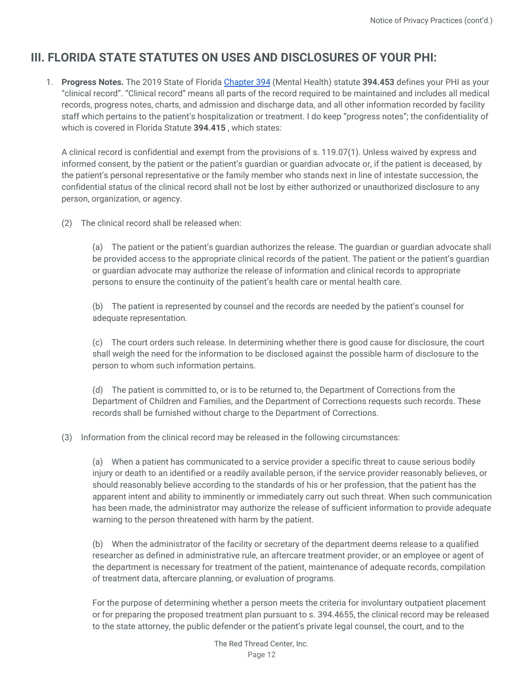## **III. FLORIDA STATE STATUTES ON USES AND DISCLOSURES OF YOUR PHI:**

1. **Progress Notes.** The 2019 State of Florida [Chapter](http://www.leg.state.fl.us/statutes/index.cfm?App_mode=Display_Statute&URL=0300-0399/0394/0394.html) 394 (Mental Health) statute **394.453** defines your PHI as your "clinical record". "Clinical record" means all parts of the record required to be maintained and includes all medical records, progress notes, charts, and admission and discharge data, and all other information recorded by facility staff which pertains to the patient's hospitalization or treatment. I do keep "progress notes"; the confidentiality of which is covered in Florida Statute **394.415** , which states:

A clinical record is confidential and exempt from the provisions of s. 119.07(1). Unless waived by express and informed consent, by the patient or the patient's guardian or guardian advocate or, if the patient is deceased, by the patient's personal representative or the family member who stands next in line of intestate succession, the confidential status of the clinical record shall not be lost by either authorized or unauthorized disclosure to any person, organization, or agency.

(2) The clinical record shall be released when:

(a) The patient or the patient's guardian authorizes the release. The guardian or guardian advocate shall be provided access to the appropriate clinical records of the patient. The patient or the patient's guardian or guardian advocate may authorize the release of information and clinical records to appropriate persons to ensure the continuity of the patient's health care or mental health care.

(b) The patient is represented by counsel and the records are needed by the patient's counsel for adequate representation.

(c) The court orders such release. In determining whether there is good cause for disclosure, the court shall weigh the need for the information to be disclosed against the possible harm of disclosure to the person to whom such information pertains.

(d) The patient is committed to, or is to be returned to, the Department of Corrections from the Department of Children and Families, and the Department of Corrections requests such records. These records shall be furnished without charge to the Department of Corrections.

(3) Information from the clinical record may be released in the following circumstances:

(a) When a patient has communicated to a service provider a specific threat to cause serious bodily injury or death to an identified or a readily available person, if the service provider reasonably believes, or should reasonably believe according to the standards of his or her profession, that the patient has the apparent intent and ability to imminently or immediately carry out such threat. When such communication has been made, the administrator may authorize the release of sufficient information to provide adequate warning to the person threatened with harm by the patient.

(b) When the administrator of the facility or secretary of the department deems release to a qualified researcher as defined in administrative rule, an aftercare treatment provider, or an employee or agent of the department is necessary for treatment of the patient, maintenance of adequate records, compilation of treatment data, aftercare planning, or evaluation of programs.

For the purpose of determining whether a person meets the criteria for involuntary outpatient placement or for preparing the proposed treatment plan pursuant to s. 394.4655, the clinical record may be released to the state attorney, the public defender or the patient's private legal counsel, the court, and to the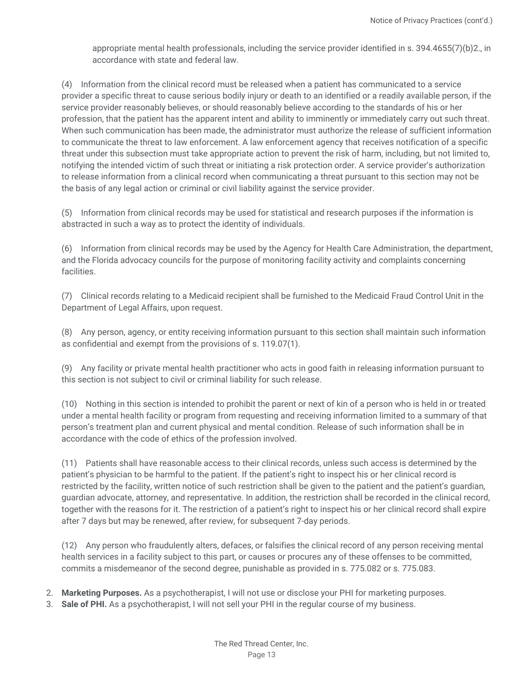appropriate mental health professionals, including the service provider identified in s. 394.4655(7)(b)2., in accordance with state and federal law.

(4) Information from the clinical record must be released when a patient has communicated to a service provider a specific threat to cause serious bodily injury or death to an identified or a readily available person, if the service provider reasonably believes, or should reasonably believe according to the standards of his or her profession, that the patient has the apparent intent and ability to imminently or immediately carry out such threat. When such communication has been made, the administrator must authorize the release of sufficient information to communicate the threat to law enforcement. A law enforcement agency that receives notification of a specific threat under this subsection must take appropriate action to prevent the risk of harm, including, but not limited to, notifying the intended victim of such threat or initiating a risk protection order. A service provider's authorization to release information from a clinical record when communicating a threat pursuant to this section may not be the basis of any legal action or criminal or civil liability against the service provider.

(5) Information from clinical records may be used for statistical and research purposes if the information is abstracted in such a way as to protect the identity of individuals.

(6) Information from clinical records may be used by the Agency for Health Care Administration, the department, and the Florida advocacy councils for the purpose of monitoring facility activity and complaints concerning facilities.

(7) Clinical records relating to a Medicaid recipient shall be furnished to the Medicaid Fraud Control Unit in the Department of Legal Affairs, upon request.

(8) Any person, agency, or entity receiving information pursuant to this section shall maintain such information as confidential and exempt from the provisions of s. 119.07(1).

(9) Any facility or private mental health practitioner who acts in good faith in releasing information pursuant to this section is not subject to civil or criminal liability for such release.

(10) Nothing in this section is intended to prohibit the parent or next of kin of a person who is held in or treated under a mental health facility or program from requesting and receiving information limited to a summary of that person's treatment plan and current physical and mental condition. Release of such information shall be in accordance with the code of ethics of the profession involved.

(11) Patients shall have reasonable access to their clinical records, unless such access is determined by the patient's physician to be harmful to the patient. If the patient's right to inspect his or her clinical record is restricted by the facility, written notice of such restriction shall be given to the patient and the patient's guardian, guardian advocate, attorney, and representative. In addition, the restriction shall be recorded in the clinical record, together with the reasons for it. The restriction of a patient's right to inspect his or her clinical record shall expire after 7 days but may be renewed, after review, for subsequent 7-day periods.

(12) Any person who fraudulently alters, defaces, or falsifies the clinical record of any person receiving mental health services in a facility subject to this part, or causes or procures any of these offenses to be committed, commits a misdemeanor of the second degree, punishable as provided in s. 775.082 or s. 775.083.

- 2. **Marketing Purposes.** As a psychotherapist, I will not use or disclose your PHI for marketing purposes.
- 3. **Sale of PHI.** As a psychotherapist, I will not sell your PHI in the regular course of my business.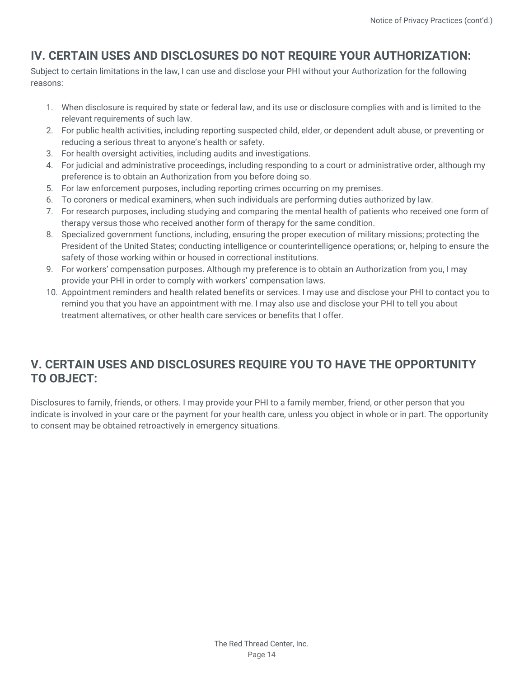# **IV. CERTAIN USES AND DISCLOSURES DO NOT REQUIRE YOUR AUTHORIZATION:**

Subject to certain limitations in the law, I can use and disclose your PHI without your Authorization for the following reasons:

- 1. When disclosure is required by state or federal law, and its use or disclosure complies with and is limited to the relevant requirements of such law.
- 2. For public health activities, including reporting suspected child, elder, or dependent adult abuse, or preventing or reducing a serious threat to anyone's health or safety.
- 3. For health oversight activities, including audits and investigations.
- 4. For judicial and administrative proceedings, including responding to a court or administrative order, although my preference is to obtain an Authorization from you before doing so.
- 5. For law enforcement purposes, including reporting crimes occurring on my premises.
- 6. To coroners or medical examiners, when such individuals are performing duties authorized by law.
- 7. For research purposes, including studying and comparing the mental health of patients who received one form of therapy versus those who received another form of therapy for the same condition.
- 8. Specialized government functions, including, ensuring the proper execution of military missions; protecting the President of the United States; conducting intelligence or counterintelligence operations; or, helping to ensure the safety of those working within or housed in correctional institutions.
- 9. For workers' compensation purposes. Although my preference is to obtain an Authorization from you, I may provide your PHI in order to comply with workers' compensation laws.
- 10. Appointment reminders and health related benefits or services. I may use and disclose your PHI to contact you to remind you that you have an appointment with me. I may also use and disclose your PHI to tell you about treatment alternatives, or other health care services or benefits that I offer.

## **V. CERTAIN USES AND DISCLOSURES REQUIRE YOU TO HAVE THE OPPORTUNITY TO OBJECT:**

Disclosures to family, friends, or others. I may provide your PHI to a family member, friend, or other person that you indicate is involved in your care or the payment for your health care, unless you object in whole or in part. The opportunity to consent may be obtained retroactively in emergency situations.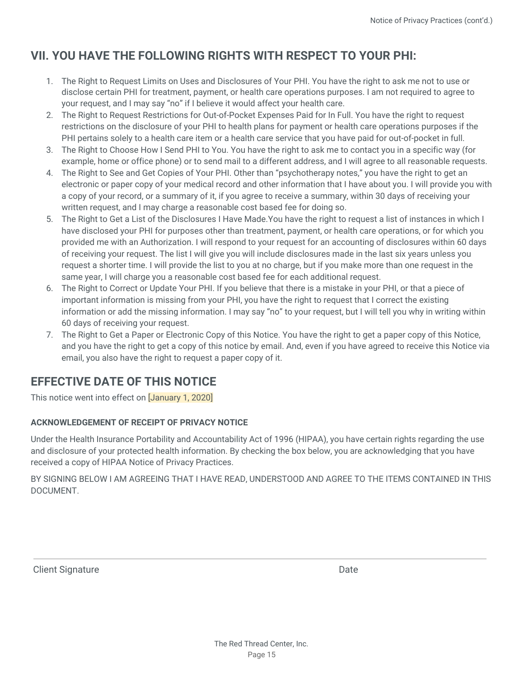## **VII. YOU HAVE THE FOLLOWING RIGHTS WITH RESPECT TO YOUR PHI:**

- 1. The Right to Request Limits on Uses and Disclosures of Your PHI. You have the right to ask me not to use or disclose certain PHI for treatment, payment, or health care operations purposes. I am not required to agree to your request, and I may say "no" if I believe it would affect your health care.
- 2. The Right to Request Restrictions for Out-of-Pocket Expenses Paid for In Full. You have the right to request restrictions on the disclosure of your PHI to health plans for payment or health care operations purposes if the PHI pertains solely to a health care item or a health care service that you have paid for out-of-pocket in full.
- 3. The Right to Choose How I Send PHI to You. You have the right to ask me to contact you in a specific way (for example, home or office phone) or to send mail to a different address, and I will agree to all reasonable requests.
- 4. The Right to See and Get Copies of Your PHI. Other than "psychotherapy notes," you have the right to get an electronic or paper copy of your medical record and other information that I have about you. I will provide you with a copy of your record, or a summary of it, if you agree to receive a summary, within 30 days of receiving your written request, and I may charge a reasonable cost based fee for doing so.
- 5. The Right to Get a List of the Disclosures I Have Made.You have the right to request a list of instances in which I have disclosed your PHI for purposes other than treatment, payment, or health care operations, or for which you provided me with an Authorization. I will respond to your request for an accounting of disclosures within 60 days of receiving your request. The list I will give you will include disclosures made in the last six years unless you request a shorter time. I will provide the list to you at no charge, but if you make more than one request in the same year, I will charge you a reasonable cost based fee for each additional request.
- 6. The Right to Correct or Update Your PHI. If you believe that there is a mistake in your PHI, or that a piece of important information is missing from your PHI, you have the right to request that I correct the existing information or add the missing information. I may say "no" to your request, but I will tell you why in writing within 60 days of receiving your request.
- 7. The Right to Get a Paper or Electronic Copy of this Notice. You have the right to get a paper copy of this Notice, and you have the right to get a copy of this notice by email. And, even if you have agreed to receive this Notice via email, you also have the right to request a paper copy of it.

## **EFFECTIVE DATE OF THIS NOTICE**

This notice went into effect on **January 1, 2020** 

#### **ACKNOWLEDGEMENT OF RECEIPT OF PRIVACY NOTICE**

Under the Health Insurance Portability and Accountability Act of 1996 (HIPAA), you have certain rights regarding the use and disclosure of your protected health information. By checking the box below, you are acknowledging that you have received a copy of HIPAA Notice of Privacy Practices.

BY SIGNING BELOW I AM AGREEING THAT I HAVE READ, UNDERSTOOD AND AGREE TO THE ITEMS CONTAINED IN THIS DOCUMENT.

Client Signature Date Date Client Signature Date Date Date Date Date Date